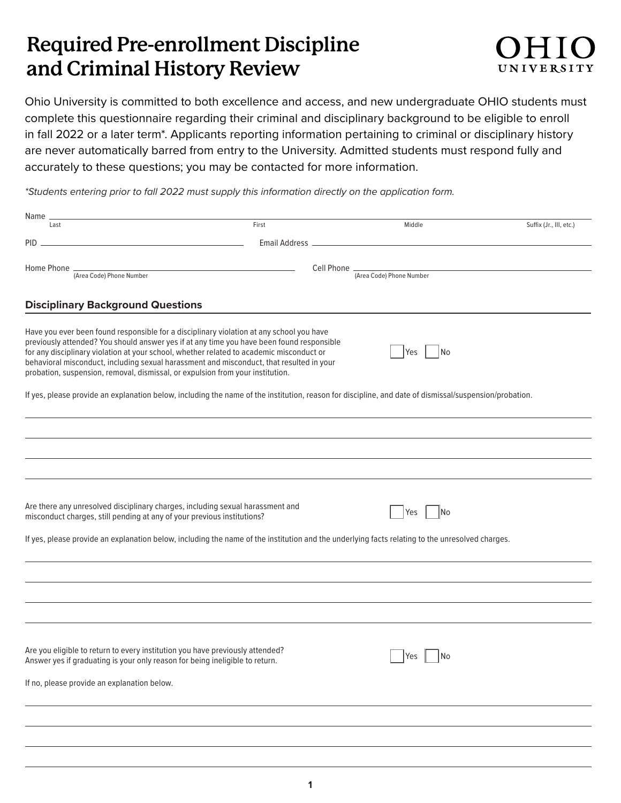## **Required Pre-enrollment Discipline and Criminal History Review**



Ohio University is committed to both excellence and access, and new undergraduate OHIO students must complete this questionnaire regarding their criminal and disciplinary background to be eligible to enroll in fall 2022 or a later term\*. Applicants reporting information pertaining to criminal or disciplinary history are never automatically barred from entry to the University. Admitted students must respond fully and accurately to these questions; you may be contacted for more information.

*\*Students entering prior to fall 2022 must supply this information directly on the application form.*

| Name                                                                                                                                                                                                                                                                                                                                                                                                                                                            |                |                          |                         |
|-----------------------------------------------------------------------------------------------------------------------------------------------------------------------------------------------------------------------------------------------------------------------------------------------------------------------------------------------------------------------------------------------------------------------------------------------------------------|----------------|--------------------------|-------------------------|
| Last                                                                                                                                                                                                                                                                                                                                                                                                                                                            | First          | Middle                   | Suffix (Jr., III, etc.) |
| PID.                                                                                                                                                                                                                                                                                                                                                                                                                                                            | Email Address. |                          |                         |
| Home Phone .                                                                                                                                                                                                                                                                                                                                                                                                                                                    | Cell Phone _   |                          |                         |
| (Area Code) Phone Number                                                                                                                                                                                                                                                                                                                                                                                                                                        |                | (Area Code) Phone Number |                         |
|                                                                                                                                                                                                                                                                                                                                                                                                                                                                 |                |                          |                         |
| <b>Disciplinary Background Questions</b>                                                                                                                                                                                                                                                                                                                                                                                                                        |                |                          |                         |
| Have you ever been found responsible for a disciplinary violation at any school you have<br>previously attended? You should answer yes if at any time you have been found responsible<br>for any disciplinary violation at your school, whether related to academic misconduct or<br>behavioral misconduct, including sexual harassment and misconduct, that resulted in your<br>probation, suspension, removal, dismissal, or expulsion from your institution. |                | Yes<br>No                |                         |
| If yes, please provide an explanation below, including the name of the institution, reason for discipline, and date of dismissal/suspension/probation.                                                                                                                                                                                                                                                                                                          |                |                          |                         |
|                                                                                                                                                                                                                                                                                                                                                                                                                                                                 |                |                          |                         |
|                                                                                                                                                                                                                                                                                                                                                                                                                                                                 |                |                          |                         |
|                                                                                                                                                                                                                                                                                                                                                                                                                                                                 |                |                          |                         |
|                                                                                                                                                                                                                                                                                                                                                                                                                                                                 |                |                          |                         |
| Are there any unresolved disciplinary charges, including sexual harassment and<br>misconduct charges, still pending at any of your previous institutions?                                                                                                                                                                                                                                                                                                       |                | No.<br><b>Yes</b>        |                         |
| If yes, please provide an explanation below, including the name of the institution and the underlying facts relating to the unresolved charges.                                                                                                                                                                                                                                                                                                                 |                |                          |                         |
|                                                                                                                                                                                                                                                                                                                                                                                                                                                                 |                |                          |                         |
|                                                                                                                                                                                                                                                                                                                                                                                                                                                                 |                |                          |                         |
|                                                                                                                                                                                                                                                                                                                                                                                                                                                                 |                |                          |                         |
| Are you eligible to return to every institution you have previously attended?<br>Answer yes if graduating is your only reason for being ineligible to return.<br>If no, please provide an explanation below.                                                                                                                                                                                                                                                    |                | No<br>Yes                |                         |
|                                                                                                                                                                                                                                                                                                                                                                                                                                                                 |                |                          |                         |
|                                                                                                                                                                                                                                                                                                                                                                                                                                                                 |                |                          |                         |
|                                                                                                                                                                                                                                                                                                                                                                                                                                                                 |                |                          |                         |